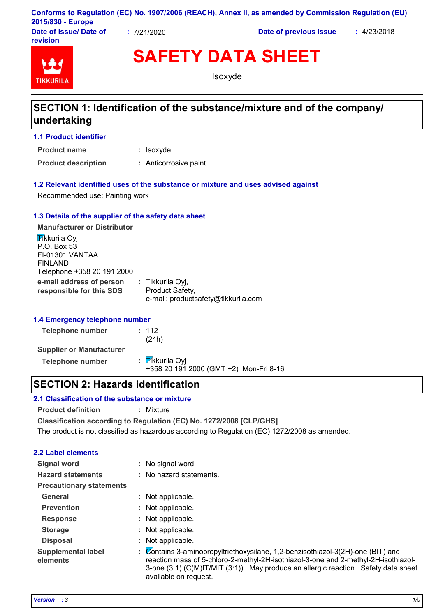|                   | Conforms to Regulation (EC) No. 1907/2006 (REACH), Annex II, as amended by Commission Regulation (EU) |  |
|-------------------|-------------------------------------------------------------------------------------------------------|--|
| 2015/830 - Europe |                                                                                                       |  |

**Date of issue/ Date of revision**

**:** 7/21/2020 **Date of previous issue :** 4/23/2018



**SAFETY DATA SHEET**

Isoxyde

## **SECTION 1: Identification of the substance/mixture and of the company/ undertaking**

**1.1 Product identifier**

: Isoxyde **Product name**

**Product description :** Anticorrosive paint

#### **1.2 Relevant identified uses of the substance or mixture and uses advised against**

Recommended use: Painting work

#### **1.3 Details of the supplier of the safety data sheet**

**e-mail address of person responsible for this SDS :** Tikkurila Oyj, Product Safety, e-mail: productsafety@tikkurila.com **Manufacturer or Distributor Tikkurila Ovi** P.O. Box 53 FI-01301 VANTAA FINLAND Telephone +358 20 191 2000

#### **1.4 Emergency telephone number**

| Telephone number                | : 112<br>(24h)                                            |
|---------------------------------|-----------------------------------------------------------|
| <b>Supplier or Manufacturer</b> |                                                           |
| Telephone number                | : Tikkurila Oyi<br>+358 20 191 2000 (GMT +2) Mon-Fri 8-16 |

## **SECTION 2: Hazards identification**

#### **2.1 Classification of the substance or mixture**

**Product definition :** Mixture

**Classification according to Regulation (EC) No. 1272/2008 [CLP/GHS]**

The product is not classified as hazardous according to Regulation (EC) 1272/2008 as amended.

#### **2.2 Label elements**

| <b>Signal word</b>                    | No signal word.                                                                                                                                                                                                                                                                                      |  |
|---------------------------------------|------------------------------------------------------------------------------------------------------------------------------------------------------------------------------------------------------------------------------------------------------------------------------------------------------|--|
| <b>Hazard statements</b>              | : No hazard statements.                                                                                                                                                                                                                                                                              |  |
| <b>Precautionary statements</b>       |                                                                                                                                                                                                                                                                                                      |  |
| General                               | Not applicable.                                                                                                                                                                                                                                                                                      |  |
| <b>Prevention</b>                     | Not applicable.                                                                                                                                                                                                                                                                                      |  |
| <b>Response</b>                       | Not applicable.                                                                                                                                                                                                                                                                                      |  |
| <b>Storage</b>                        | Not applicable.                                                                                                                                                                                                                                                                                      |  |
| <b>Disposal</b>                       | Not applicable.                                                                                                                                                                                                                                                                                      |  |
| <b>Supplemental label</b><br>elements | $\emptyset$ ontains 3-aminopropyltriethoxysilane, 1,2-benzisothiazol-3(2H)-one (BIT) and<br>÷.<br>reaction mass of 5-chloro-2-methyl-2H-isothiazol-3-one and 2-methyl-2H-isothiazol-<br>3-one (3:1) (C(M)IT/MIT (3:1)). May produce an allergic reaction. Safety data sheet<br>available on request. |  |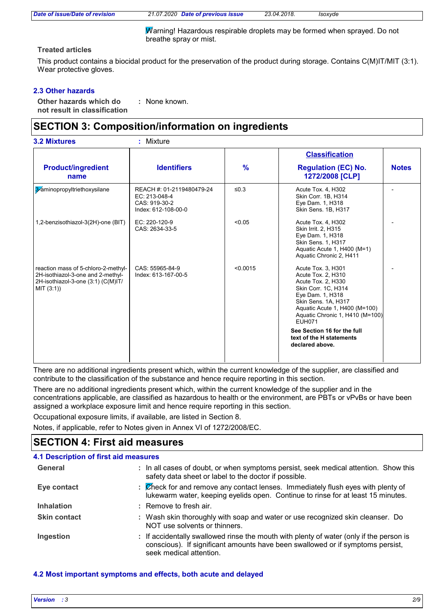Warning! Hazardous respirable droplets may be formed when sprayed. Do not breathe spray or mist.

#### **Treated articles**

This product contains a biocidal product for the preservation of the product during storage. Contains C(M)IT/MIT (3:1). Wear protective gloves.

#### **2.3 Other hazards**

**Other hazards which do : not result in classification** : None known.

## **SECTION 3: Composition/information on ingredients**

|                                                                                                                              |                                                                                    |               | <b>Classification</b>                                                                                                                                                                                                                                                                               |              |
|------------------------------------------------------------------------------------------------------------------------------|------------------------------------------------------------------------------------|---------------|-----------------------------------------------------------------------------------------------------------------------------------------------------------------------------------------------------------------------------------------------------------------------------------------------------|--------------|
| <b>Product/ingredient</b><br>name                                                                                            | <b>Identifiers</b>                                                                 | $\frac{9}{6}$ | <b>Regulation (EC) No.</b><br>1272/2008 [CLP]                                                                                                                                                                                                                                                       | <b>Notes</b> |
| 3-aminopropyltriethoxysilane                                                                                                 | REACH #: 01-2119480479-24<br>EC: 213-048-4<br>CAS: 919-30-2<br>Index: 612-108-00-0 | $\leq 0.3$    | Acute Tox. 4, H302<br>Skin Corr. 1B, H314<br>Eye Dam. 1, H318<br>Skin Sens. 1B, H317                                                                                                                                                                                                                |              |
| 1,2-benzisothiazol-3(2H)-one (BIT)                                                                                           | EC: 220-120-9<br>CAS: 2634-33-5                                                    | < 0.05        | Acute Tox. 4, H302<br>Skin Irrit. 2, H315<br>Eye Dam. 1, H318<br>Skin Sens. 1, H317<br>Aquatic Acute 1, H400 (M=1)<br>Aquatic Chronic 2, H411                                                                                                                                                       |              |
| reaction mass of 5-chloro-2-methyl-<br>2H-isothiazol-3-one and 2-methyl-<br>2H-isothiazol-3-one (3:1) (C(M)IT/<br>MIT (3:1)) | CAS: 55965-84-9<br>Index: 613-167-00-5                                             | < 0.0015      | Acute Tox. 3, H301<br>Acute Tox. 2, H310<br>Acute Tox. 2, H330<br>Skin Corr. 1C, H314<br>Eye Dam. 1, H318<br>Skin Sens. 1A, H317<br>Aquatic Acute 1, H400 (M=100)<br>Aquatic Chronic 1, H410 (M=100)<br><b>EUH071</b><br>See Section 16 for the full<br>text of the H statements<br>declared above. |              |

There are no additional ingredients present which, within the current knowledge of the supplier, are classified and contribute to the classification of the substance and hence require reporting in this section.

There are no additional ingredients present which, within the current knowledge of the supplier and in the concentrations applicable, are classified as hazardous to health or the environment, are PBTs or vPvBs or have been assigned a workplace exposure limit and hence require reporting in this section.

Occupational exposure limits, if available, are listed in Section 8.

Notes, if applicable, refer to Notes given in Annex VI of 1272/2008/EC.

## **SECTION 4: First aid measures**

| <b>4.1 Description of first aid measures</b> |                                                                                                                                                                                                      |
|----------------------------------------------|------------------------------------------------------------------------------------------------------------------------------------------------------------------------------------------------------|
| General                                      | : In all cases of doubt, or when symptoms persist, seek medical attention. Show this<br>safety data sheet or label to the doctor if possible.                                                        |
| Eye contact                                  | : Check for and remove any contact lenses. Immediately flush eyes with plenty of<br>lukewarm water, keeping eyelids open. Continue to rinse for at least 15 minutes.                                 |
| <b>Inhalation</b>                            | $:$ Remove to fresh air.                                                                                                                                                                             |
| <b>Skin contact</b>                          | : Wash skin thoroughly with soap and water or use recognized skin cleanser. Do<br>NOT use solvents or thinners.                                                                                      |
| Ingestion                                    | : If accidentally swallowed rinse the mouth with plenty of water (only if the person is<br>conscious). If significant amounts have been swallowed or if symptoms persist,<br>seek medical attention. |

#### **4.2 Most important symptoms and effects, both acute and delayed**

| Version : 3 | 2/9 |
|-------------|-----|
|             |     |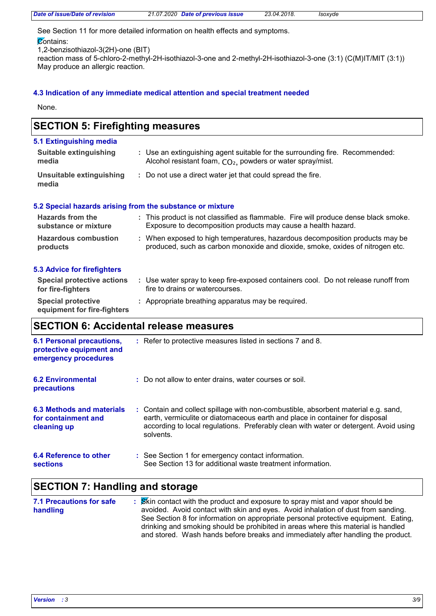| Date of issue/Date of revision | 21.07.2020 Date of previous issue | 23.04.2018. | Isoxyde |  |
|--------------------------------|-----------------------------------|-------------|---------|--|

See Section 11 for more detailed information on health effects and symptoms.

**Contains:** 

1,2-benzisothiazol-3(2H)-one (BIT)

reaction mass of 5-chloro-2-methyl-2H-isothiazol-3-one and 2-methyl-2H-isothiazol-3-one (3:1) (C(M)IT/MIT (3:1)) May produce an allergic reaction.

#### **4.3 Indication of any immediate medical attention and special treatment needed**

None.

## **SECTION 5: Firefighting measures**

| 5.1 Extinguishing media           |                                                                                                                                              |
|-----------------------------------|----------------------------------------------------------------------------------------------------------------------------------------------|
| Suitable extinguishing<br>media   | : Use an extinguishing agent suitable for the surrounding fire. Recommended:<br>Alcohol resistant foam, $CO2$ , powders or water spray/mist. |
| Unsuitable extinguishing<br>media | : Do not use a direct water jet that could spread the fire.                                                                                  |

#### **5.2 Special hazards arising from the substance or mixture**

| <b>Hazards from the</b>     | : This product is not classified as flammable. Fire will produce dense black smoke. |
|-----------------------------|-------------------------------------------------------------------------------------|
| substance or mixture        | Exposure to decomposition products may cause a health hazard.                       |
| <b>Hazardous combustion</b> | : When exposed to high temperatures, hazardous decomposition products may be        |
| products                    | produced, such as carbon monoxide and dioxide, smoke, oxides of nitrogen etc.       |

#### **5.3 Advice for firefighters**

| Special protective actions<br>for fire-fighters          | Use water spray to keep fire-exposed containers cool. Do not release runoff from<br>fire to drains or watercourses. |
|----------------------------------------------------------|---------------------------------------------------------------------------------------------------------------------|
| <b>Special protective</b><br>equipment for fire-fighters | : Appropriate breathing apparatus may be required.                                                                  |

## **SECTION 6: Accidental release measures**

| <b>6.1 Personal precautions,</b><br>protective equipment and<br>emergency procedures | : Refer to protective measures listed in sections 7 and 8.                                                                                                                                                                                                               |
|--------------------------------------------------------------------------------------|--------------------------------------------------------------------------------------------------------------------------------------------------------------------------------------------------------------------------------------------------------------------------|
| <b>6.2 Environmental</b><br>precautions                                              | : Do not allow to enter drains, water courses or soil.                                                                                                                                                                                                                   |
| 6.3 Methods and materials<br>for containment and<br>cleaning up                      | : Contain and collect spillage with non-combustible, absorbent material e.g. sand,<br>earth, vermiculite or diatomaceous earth and place in container for disposal<br>according to local regulations. Preferably clean with water or detergent. Avoid using<br>solvents. |
| 6.4 Reference to other<br><b>sections</b>                                            | : See Section 1 for emergency contact information.<br>See Section 13 for additional waste treatment information.                                                                                                                                                         |

## **SECTION 7: Handling and storage**

| <b>7.1 Precautions for safe</b> | <b>S</b> Kin contact with the product and exposure to spray mist and vapor should be |
|---------------------------------|--------------------------------------------------------------------------------------|
| handling                        | avoided. Avoid contact with skin and eyes. Avoid inhalation of dust from sanding.    |
|                                 | See Section 8 for information on appropriate personal protective equipment. Eating,  |
|                                 | drinking and smoking should be prohibited in areas where this material is handled    |
|                                 | and stored. Wash hands before breaks and immediately after handling the product.     |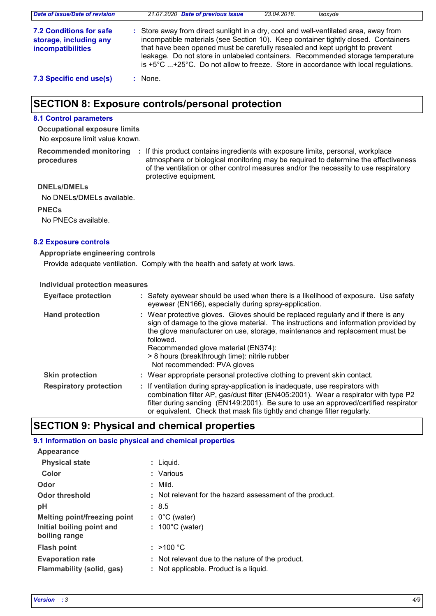| Date of issue/Date of revision                                                       | 21.07.2020 Date of previous issue<br>23.04.2018.<br>Isoxyde                                                                                                                                                                                                                                                                                                                                                                                  |
|--------------------------------------------------------------------------------------|----------------------------------------------------------------------------------------------------------------------------------------------------------------------------------------------------------------------------------------------------------------------------------------------------------------------------------------------------------------------------------------------------------------------------------------------|
| <b>7.2 Conditions for safe</b><br>storage, including any<br><i>incompatibilities</i> | : Store away from direct sunlight in a dry, cool and well-ventilated area, away from<br>incompatible materials (see Section 10). Keep container tightly closed. Containers<br>that have been opened must be carefully resealed and kept upright to prevent<br>leakage. Do not store in unlabeled containers. Recommended storage temperature<br>is $+5^{\circ}$ C +25°C. Do not allow to freeze. Store in accordance with local regulations. |
| 7.3 Specific end use(s)                                                              | None.                                                                                                                                                                                                                                                                                                                                                                                                                                        |

## **SECTION 8: Exposure controls/personal protection**

#### **8.1 Control parameters**

No exposure limit value known. **Occupational exposure limits**

**procedures**

Recommended monitoring : If this product contains ingredients with exposure limits, personal, workplace atmosphere or biological monitoring may be required to determine the effectiveness of the ventilation or other control measures and/or the necessity to use respiratory protective equipment.

#### **DNELs/DMELs**

No DNELs/DMELs available.

**PNECs**

No PNECs available.

#### **8.2 Exposure controls**

#### **Appropriate engineering controls**

Provide adequate ventilation. Comply with the health and safety at work laws.

#### **Individual protection measures**

| <b>Eye/face protection</b>    | : Safety eyewear should be used when there is a likelihood of exposure. Use safety<br>eyewear (EN166), especially during spray-application.                                                                                                                                                                                                                                                |
|-------------------------------|--------------------------------------------------------------------------------------------------------------------------------------------------------------------------------------------------------------------------------------------------------------------------------------------------------------------------------------------------------------------------------------------|
| <b>Hand protection</b>        | : Wear protective gloves. Gloves should be replaced regularly and if there is any<br>sign of damage to the glove material. The instructions and information provided by<br>the glove manufacturer on use, storage, maintenance and replacement must be<br>followed.<br>Recommended glove material (EN374):<br>> 8 hours (breakthrough time): nitrile rubber<br>Not recommended: PVA gloves |
| <b>Skin protection</b>        | : Wear appropriate personal protective clothing to prevent skin contact.                                                                                                                                                                                                                                                                                                                   |
| <b>Respiratory protection</b> | : If ventilation during spray-application is inadequate, use respirators with<br>combination filter AP, gas/dust filter (EN405:2001). Wear a respirator with type P2<br>filter during sanding (EN149:2001). Be sure to use an approved/certified respirator<br>or equivalent. Check that mask fits tightly and change filter regularly.                                                    |

### **SECTION 9: Physical and chemical properties**

#### **9.1 Information on basic physical and chemical properties**

| Appearance                                                  |                                                                                            |
|-------------------------------------------------------------|--------------------------------------------------------------------------------------------|
| <b>Physical state</b>                                       | : Liguid.                                                                                  |
| Color                                                       | : Various                                                                                  |
| Odor                                                        | : Mild.                                                                                    |
| <b>Odor threshold</b>                                       | : Not relevant for the hazard assessment of the product.                                   |
| pH                                                          | : 8.5                                                                                      |
| Melting point/freezing point                                | $: 0^{\circ}$ C (water)                                                                    |
| Initial boiling point and<br>boiling range                  | $: 100^{\circ}$ C (water)                                                                  |
| <b>Flash point</b>                                          | : $>100 °C$                                                                                |
| <b>Evaporation rate</b><br><b>Flammability (solid, gas)</b> | : Not relevant due to the nature of the product.<br>: Not applicable. Product is a liquid. |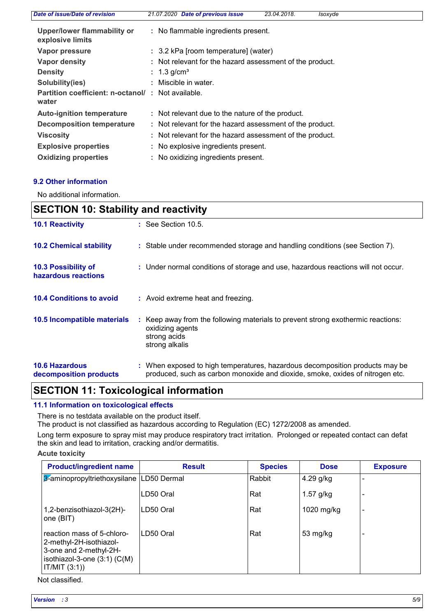| Date of issue/Date of revision                             | 21.07.2020 Date of previous issue                        | 23.04.2018. | Isoxyde |  |
|------------------------------------------------------------|----------------------------------------------------------|-------------|---------|--|
| Upper/lower flammability or<br>explosive limits            | : No flammable ingredients present.                      |             |         |  |
| Vapor pressure                                             | : 3.2 kPa [room temperature] (water)                     |             |         |  |
| <b>Vapor density</b>                                       | : Not relevant for the hazard assessment of the product. |             |         |  |
| <b>Density</b>                                             | : $1.3 \text{ g/cm}^3$                                   |             |         |  |
| Solubility(ies)                                            | : Miscible in water.                                     |             |         |  |
| Partition coefficient: n-octanol/: Not available.<br>water |                                                          |             |         |  |
| <b>Auto-ignition temperature</b>                           | : Not relevant due to the nature of the product.         |             |         |  |
| <b>Decomposition temperature</b>                           | : Not relevant for the hazard assessment of the product. |             |         |  |
| <b>Viscosity</b>                                           | : Not relevant for the hazard assessment of the product. |             |         |  |
| <b>Explosive properties</b>                                | : No explosive ingredients present.                      |             |         |  |
| <b>Oxidizing properties</b>                                | : No oxidizing ingredients present.                      |             |         |  |

#### **9.2 Other information**

No additional information.

| <b>SECTION 10: Stability and reactivity</b>     |  |                                                                                                                                                               |
|-------------------------------------------------|--|---------------------------------------------------------------------------------------------------------------------------------------------------------------|
| <b>10.1 Reactivity</b>                          |  | $\therefore$ See Section 10.5.                                                                                                                                |
| <b>10.2 Chemical stability</b>                  |  | : Stable under recommended storage and handling conditions (see Section 7).                                                                                   |
| 10.3 Possibility of<br>hazardous reactions      |  | : Under normal conditions of storage and use, hazardous reactions will not occur.                                                                             |
| <b>10.4 Conditions to avoid</b>                 |  | : Avoid extreme heat and freezing.                                                                                                                            |
| 10.5 Incompatible materials                     |  | Keep away from the following materials to prevent strong exothermic reactions:<br>oxidizing agents<br>strong acids<br>strong alkalis                          |
| <b>10.6 Hazardous</b><br>decomposition products |  | : When exposed to high temperatures, hazardous decomposition products may be<br>produced, such as carbon monoxide and dioxide, smoke, oxides of nitrogen etc. |

# **SECTION 11: Toxicological information**

#### **11.1 Information on toxicological effects**

There is no testdata available on the product itself.

The product is not classified as hazardous according to Regulation (EC) 1272/2008 as amended.

Long term exposure to spray mist may produce respiratory tract irritation. Prolonged or repeated contact can defat the skin and lead to irritation, cracking and/or dermatitis.

#### **Acute toxicity**

| <b>Product/ingredient name</b>                                                                                                       | <b>Result</b> | <b>Species</b> | <b>Dose</b> | <b>Exposure</b> |
|--------------------------------------------------------------------------------------------------------------------------------------|---------------|----------------|-------------|-----------------|
| 3-aminopropyltriethoxysilane   LD50 Dermal                                                                                           |               | Rabbit         | $4.29$ g/kg |                 |
|                                                                                                                                      | LD50 Oral     | Rat            | $1.57$ g/kg |                 |
| 1,2-benzisothiazol-3(2H)-<br>one (BIT)                                                                                               | ILD50 Oral    | Rat            | 1020 mg/kg  |                 |
| reaction mass of 5-chloro-<br>2-methyl-2H-isothiazol-<br>3-one and 2-methyl-2H-<br>isothiazol-3-one $(3:1)$ $(C(M))$<br>IT/MIT (3:1) | ILD50 Oral    | Rat            | 53 mg/kg    |                 |

Not classified.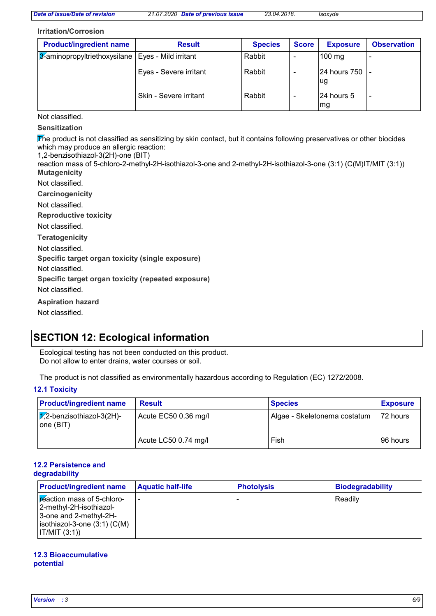#### **Irritation/Corrosion**

| <b>Product/ingredient name</b>                      | <b>Result</b>          | <b>Species</b> | <b>Score</b> | <b>Exposure</b>       | <b>Observation</b> |
|-----------------------------------------------------|------------------------|----------------|--------------|-----------------------|--------------------|
| 3-aminopropyltriethoxysilane   Eyes - Mild irritant |                        | Rabbit         |              | $100 \text{ mg}$      |                    |
|                                                     | Eyes - Severe irritant | Rabbit         |              | 24 hours 750 -<br>lug |                    |
|                                                     | Skin - Severe irritant | Rabbit         |              | 24 hours 5<br> mg     |                    |

Not classified.

**Sensitization**

The product is not classified as sensitizing by skin contact, but it contains following preservatives or other biocides which may produce an allergic reaction:

1,2-benzisothiazol-3(2H)-one (BIT)

**Mutagenicity** reaction mass of 5-chloro-2-methyl-2H-isothiazol-3-one and 2-methyl-2H-isothiazol-3-one (3:1) (C(M)IT/MIT (3:1))

Not classified.

**Carcinogenicity**

Not classified.

**Reproductive toxicity**

Not classified.

**Teratogenicity**

Not classified.

**Specific target organ toxicity (single exposure)**

Not classified.

**Specific target organ toxicity (repeated exposure)**

Not classified.

**Aspiration hazard**

Not classified.

## **SECTION 12: Ecological information**

Ecological testing has not been conducted on this product. Do not allow to enter drains, water courses or soil.

The product is not classified as environmentally hazardous according to Regulation (EC) 1272/2008.

#### **12.1 Toxicity**

| <b>Product/ingredient name</b>                   | <b>Result</b>        | <b>Species</b>               | <b>Exposure</b> |
|--------------------------------------------------|----------------------|------------------------------|-----------------|
| $\sqrt{1/2}$ -benzisothiazol-3(2H)-<br>one (BIT) | Acute EC50 0.36 mg/l | Algae - Skeletonema costatum | 172 hours       |
|                                                  | Acute LC50 0.74 mg/l | Fish                         | 196 hours       |

#### **12.2 Persistence and degradability**

| <b>Product/ingredient name</b>                                                                                                        | <b>Aquatic half-life</b> | <b>Photolysis</b> | <b>Biodegradability</b> |
|---------------------------------------------------------------------------------------------------------------------------------------|--------------------------|-------------------|-------------------------|
| reaction mass of 5-chloro-<br>-2-methyl-2H-isothiazol <br>3-one and 2-methyl-2H-<br>isothiazol-3-one $(3:1)$ $(C(M))$<br>IT/MIT (3:1) |                          |                   | Readily                 |

#### **12.3 Bioaccumulative potential**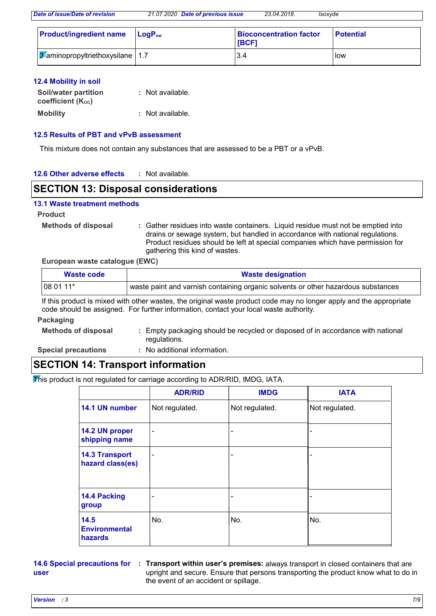| <b>Product/ingredient name LogPow</b>        | <b>Bioconcentration factor</b><br><b>IBCF1</b> | <b>Potential</b> |
|----------------------------------------------|------------------------------------------------|------------------|
| $\sqrt{3}$ -aminopropyltriethoxysilane   1.7 | 3.4                                            | <b>I</b> low     |

#### **12.4 Mobility in soil**

| <b>Soil/water partition</b>    | : Not available. |
|--------------------------------|------------------|
| coefficient (K <sub>oc</sub> ) |                  |
| <b>Mobility</b>                | : Not available. |

#### **12.5 Results of PBT and vPvB assessment**

This mixture does not contain any substances that are assessed to be a PBT or a vPvB.

#### **12.6 Other adverse effects :**

### **SECTION 13: Disposal considerations**

#### **13.1 Waste treatment methods**

#### **Product**

**Methods of disposal :**

Gather residues into waste containers. Liquid residue must not be emptied into drains or sewage system, but handled in accordance with national regulations. Product residues should be left at special companies which have permission for gathering this kind of wastes.

#### **European waste catalogue (EWC)**

| Waste code | <b>Waste designation</b>                                                          |
|------------|-----------------------------------------------------------------------------------|
| $1080111*$ | waste paint and varnish containing organic solvents or other hazardous substances |

If this product is mixed with other wastes, the original waste product code may no longer apply and the appropriate code should be assigned. For further information, contact your local waste authority.

#### **Packaging**

**Methods of disposal :** Empty packaging should be recycled or disposed of in accordance with national regulations.

**Special precautions :**

: No additional information.

## **SECTION 14: Transport information**

This product is not regulated for carriage according to ADR/RID, IMDG, IATA.

|                                           | <b>ADR/RID</b>               | <b>IMDG</b>    | <b>IATA</b>    |
|-------------------------------------------|------------------------------|----------------|----------------|
| 14.1 UN number                            | Not regulated.               | Not regulated. | Not regulated. |
| 14.2 UN proper<br>shipping name           | $\qquad \qquad \blacksquare$ | -              |                |
| <b>14.3 Transport</b><br>hazard class(es) | $\qquad \qquad \blacksquare$ | -              |                |
| 14.4 Packing<br>group                     |                              |                |                |
| 14.5<br><b>Environmental</b><br>hazards   | No.                          | No.            | No.            |

**user**

**14.6 Special precautions for : Transport within user's premises: always transport in closed containers that are** upright and secure. Ensure that persons transporting the product know what to do in the event of an accident or spillage.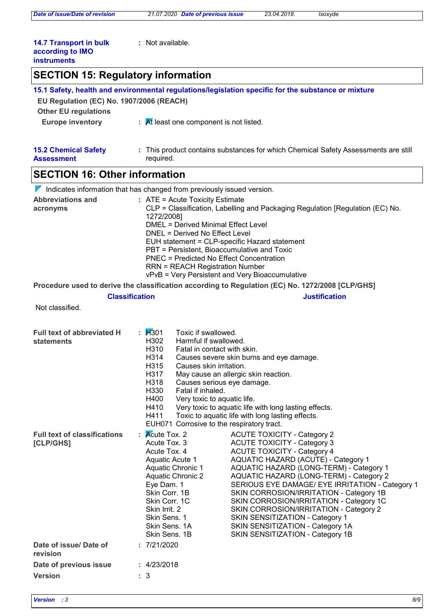**:** Not available.

#### **14.7 Transport in bulk according to IMO instruments**

## **SECTION 15: Regulatory information**

| EU Regulation (EC) No. 1907/2006 (REACH)         | 15.1 Safety, health and environmental regulations/legislation specific for the substance or mixture                                                                                                                                                                                                                                                                                                                                                                                                                                                                                                                                                                                                                                                                                                  |                      |  |
|--------------------------------------------------|------------------------------------------------------------------------------------------------------------------------------------------------------------------------------------------------------------------------------------------------------------------------------------------------------------------------------------------------------------------------------------------------------------------------------------------------------------------------------------------------------------------------------------------------------------------------------------------------------------------------------------------------------------------------------------------------------------------------------------------------------------------------------------------------------|----------------------|--|
| <b>Other EU regulations</b>                      |                                                                                                                                                                                                                                                                                                                                                                                                                                                                                                                                                                                                                                                                                                                                                                                                      |                      |  |
| <b>Europe inventory</b>                          | $\frac{1}{2}$ M least one component is not listed.                                                                                                                                                                                                                                                                                                                                                                                                                                                                                                                                                                                                                                                                                                                                                   |                      |  |
| <b>15.2 Chemical Safety</b><br><b>Assessment</b> | : This product contains substances for which Chemical Safety Assessments are still<br>required.                                                                                                                                                                                                                                                                                                                                                                                                                                                                                                                                                                                                                                                                                                      |                      |  |
| <b>SECTION 16: Other information</b>             |                                                                                                                                                                                                                                                                                                                                                                                                                                                                                                                                                                                                                                                                                                                                                                                                      |                      |  |
|                                                  | $\nabla$ Indicates information that has changed from previously issued version.                                                                                                                                                                                                                                                                                                                                                                                                                                                                                                                                                                                                                                                                                                                      |                      |  |
| <b>Abbreviations and</b><br>acronyms             | : ATE = Acute Toxicity Estimate<br>CLP = Classification, Labelling and Packaging Regulation [Regulation (EC) No.<br>1272/2008]<br><b>DMEL = Derived Minimal Effect Level</b><br>DNEL = Derived No Effect Level<br>EUH statement = CLP-specific Hazard statement<br>PBT = Persistent, Bioaccumulative and Toxic<br><b>PNEC = Predicted No Effect Concentration</b><br><b>RRN = REACH Registration Number</b><br>vPvB = Very Persistent and Very Bioaccumulative                                                                                                                                                                                                                                                                                                                                       |                      |  |
|                                                  | Procedure used to derive the classification according to Regulation (EC) No. 1272/2008 [CLP/GHS]                                                                                                                                                                                                                                                                                                                                                                                                                                                                                                                                                                                                                                                                                                     |                      |  |
|                                                  | <b>Classification</b>                                                                                                                                                                                                                                                                                                                                                                                                                                                                                                                                                                                                                                                                                                                                                                                | <b>Justification</b> |  |
| Not classified.                                  |                                                                                                                                                                                                                                                                                                                                                                                                                                                                                                                                                                                                                                                                                                                                                                                                      |                      |  |
| <b>Full text of abbreviated H</b><br>statements  | : $1/301$<br>Toxic if swallowed.<br>H302<br>Harmful if swallowed.<br>H310<br>Fatal in contact with skin.<br>H314<br>Causes severe skin burns and eye damage.<br>H315<br>Causes skin irritation.<br>H317<br>May cause an allergic skin reaction.<br>H318<br>Causes serious eye damage.<br>H330<br>Fatal if inhaled.<br>H400<br>Very toxic to aquatic life.<br>H410<br>Very toxic to aquatic life with long lasting effects.<br>Toxic to aquatic life with long lasting effects.<br>H411<br>EUH071 Corrosive to the respiratory tract.                                                                                                                                                                                                                                                                 |                      |  |
| <b>Full text of classifications</b><br>[CLP/GHS] | $\mathsf{R}$ Mcute Tox. 2<br><b>ACUTE TOXICITY - Category 2</b><br>Acute Tox. 3<br><b>ACUTE TOXICITY - Category 3</b><br><b>ACUTE TOXICITY - Category 4</b><br>Acute Tox. 4<br>AQUATIC HAZARD (ACUTE) - Category 1<br>Aquatic Acute 1<br><b>Aquatic Chronic 1</b><br>AQUATIC HAZARD (LONG-TERM) - Category 1<br><b>Aquatic Chronic 2</b><br>AQUATIC HAZARD (LONG-TERM) - Category 2<br>Eye Dam. 1<br>SERIOUS EYE DAMAGE/ EYE IRRITATION - Category 1<br>Skin Corr. 1B<br>SKIN CORROSION/IRRITATION - Category 1B<br>Skin Corr. 1C<br>SKIN CORROSION/IRRITATION - Category 1C<br>Skin Irrit. 2<br>SKIN CORROSION/IRRITATION - Category 2<br>Skin Sens. 1<br>SKIN SENSITIZATION - Category 1<br>Skin Sens. 1A<br>SKIN SENSITIZATION - Category 1A<br>Skin Sens. 1B<br>SKIN SENSITIZATION - Category 1B |                      |  |
| Date of issue/Date of<br>revision                | : 7/21/2020                                                                                                                                                                                                                                                                                                                                                                                                                                                                                                                                                                                                                                                                                                                                                                                          |                      |  |
| Date of previous issue                           | : 4/23/2018                                                                                                                                                                                                                                                                                                                                                                                                                                                                                                                                                                                                                                                                                                                                                                                          |                      |  |
| <b>Version</b>                                   | : 3                                                                                                                                                                                                                                                                                                                                                                                                                                                                                                                                                                                                                                                                                                                                                                                                  |                      |  |